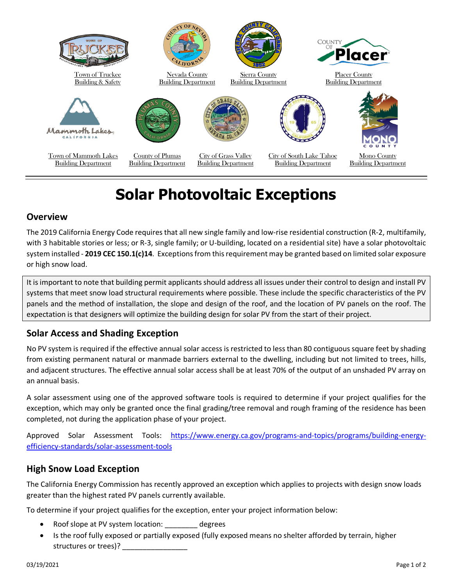

# **Solar Photovoltaic Exceptions**

#### **Overview**

The 2019 California Energy Code requires that all new single family and low-rise residential construction (R-2, multifamily, with 3 habitable stories or less; or R-3, single family; or U-building, located on a residential site) have a solar photovoltaic system installed - **2019 CEC 150.1(c)14**. Exceptions from this requirement may be granted based on limited solar exposure or high snow load.

It is important to note that building permit applicants should address all issues under their control to design and install PV systems that meet snow load structural requirements where possible. These include the specific characteristics of the PV panels and the method of installation, the slope and design of the roof, and the location of PV panels on the roof. The expectation is that designers will optimize the building design for solar PV from the start of their project.

## **Solar Access and Shading Exception**

No PV system is required if the effective annual solar access is restricted to less than 80 contiguous square feet by shading from existing permanent natural or manmade barriers external to the dwelling, including but not limited to trees, hills, and adjacent structures. The effective annual solar access shall be at least 70% of the output of an unshaded PV array on an annual basis.

A solar assessment using one of the approved software tools is required to determine if your project qualifies for the exception, which may only be granted once the final grading/tree removal and rough framing of the residence has been completed, not during the application phase of your project.

Approved Solar Assessment Tools: [https://www.energy.ca.gov/programs-and-topics/programs/building-energy](https://www.energy.ca.gov/programs-and-topics/programs/building-energy-efficiency-standards/solar-assessment-tools)[efficiency-standards/solar-assessment-tools](https://www.energy.ca.gov/programs-and-topics/programs/building-energy-efficiency-standards/solar-assessment-tools)

## **High Snow Load Exception**

The California Energy Commission has recently approved an exception which applies to projects with design snow loads greater than the highest rated PV panels currently available.

To determine if your project qualifies for the exception, enter your project information below:

- Roof slope at PV system location: degrees
- Is the roof fully exposed or partially exposed (fully exposed means no shelter afforded by terrain, higher structures or trees)?